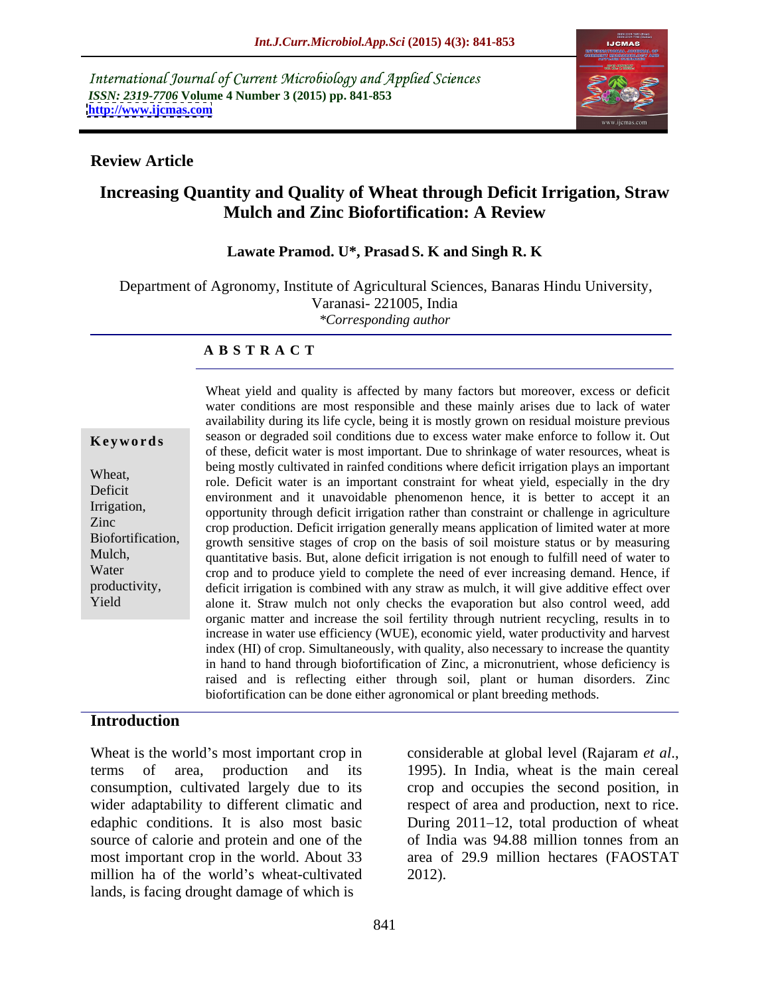International Journal of Current Microbiology and Applied Sciences *ISSN: 2319-7706* **Volume 4 Number 3 (2015) pp. 841-853 <http://www.ijcmas.com>**



### **Review Article**

# **Increasing Quantity and Quality of Wheat through Deficit Irrigation, Straw Mulch and Zinc Biofortification: A Review**

### **Lawate Pramod. U\*, Prasad S. K and Singh R. K**

Department of Agronomy, Institute of Agricultural Sciences, Banaras Hindu University, Varanasi- 221005, India *\*Corresponding author*

### **A B S T R A C T**

Yield

Wheat yield and quality is affected by many factors but moreover, excess or deficit water conditions are most responsible and these mainly arises due to lack of water availability during its life cycle, being it is mostly grown on residual moisture previous **Keywords** season or degraded soil conditions due to excess water make enforce to follow it. Out of these, deficit water is most important. Due to shrinkage of water resources, wheat is being mostly cultivated in rainfed conditions where deficit irrigation plays an important Wheat,<br>
role. Deficit water is an important constraint for wheat yield, especially in the dry Deficit environment and it unavoidable phenomenon hence, it is better to accept it an Irrigation, opportunity through deficit irrigation rather than constraint or challenge in agriculture zinc<br>
crop production. Deficit irrigation generally means application of limited water at more Biofortification, growth sensitive stages of crop on the basis of soil moisture status or by measuring Mulch, quantitative basis. But, alone deficit irrigation is not enough to fulfill need of water to Water crop and to produce yield to complete the need of ever increasing demand. Hence, if deficit irrigation is combined with any straw as mulch, it will give additive effect over productivity, alone it. Straw mulch not only checks the evaporation but also control weed, add organic matter and increase the soil fertility through nutrient recycling, results in to increase in water use efficiency (WUE), economic yield, water productivity and harvest index (HI) of crop. Simultaneously, with quality, also necessary to increase the quantity in hand to hand through biofortification of Zinc, a micronutrient, whose deficiency is raised and is reflecting either through soil, plant or human disorders. Zinc biofortification can be done either agronomical or plant breeding methods.

### **Introduction**

Wheat is the world's most important crop in considerable at global level (Rajaram et al., terms of area, production and its consumption, cultivated largely due to its crop and occupies the second position, in wider adaptability to different climatic and respect of area and production, next to rice. edaphic conditions. It is also most basic During 2011–12, total production of wheat source of calorie and protein and one of the of India was 94.88 million tonnes from an most important crop in the world. About 33 area of 29.9 million hectares (FAOSTAT million ha of the world's wheat-cultivated 2012). lands, is facing drought damage of which is

considerable at global level (Rajaram *et al*., 1995). In India, wheat is the main cereal of India was 94.88 million tonnes from an 2012).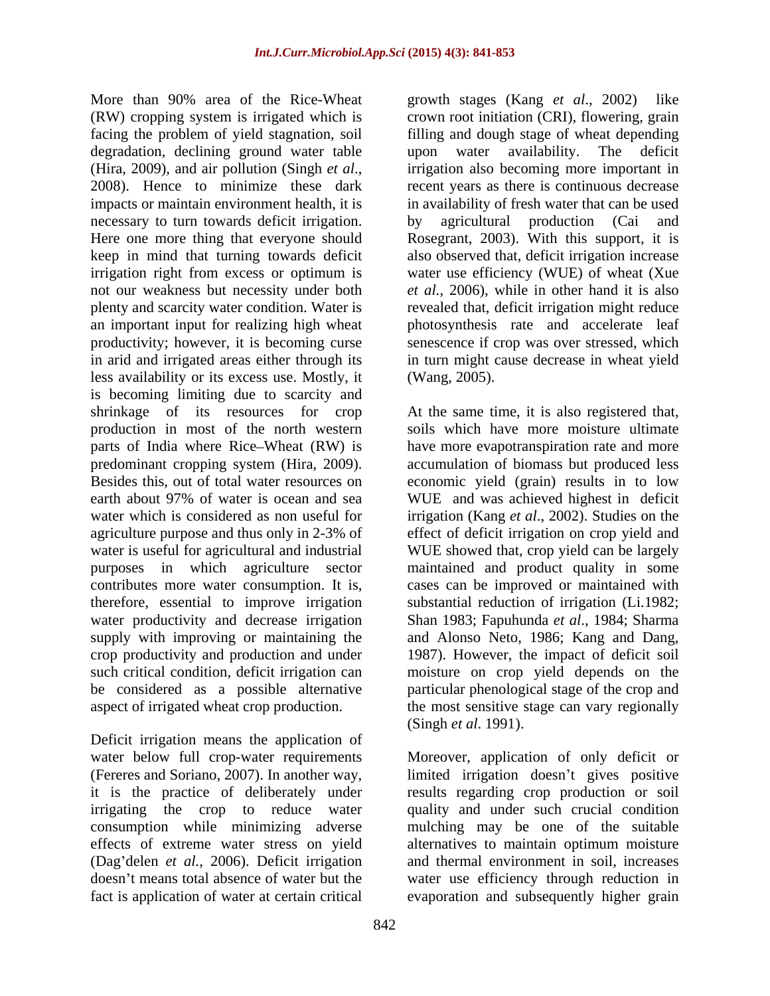More than 90% area of the Rice-Wheat growth stages (Kang *et al.*, 2002) like (RW) cropping system is irrigated which is crown root initiation (CRI), flowering, grain facing the problem of yield stagnation, soil degradation, declining ground water table upon water availability. The deficit (Hira, 2009), and air pollution (Singh *et al.*, irrigation also becoming more important in 2008). Hence to minimize these dark recent years as there is continuous decrease impacts or maintain environment health, it is in availability of fresh water that can be used necessary to turn towards deficit irrigation. by agricultural production (Cai and Here one more thing that everyone should Rosegrant, 2003). With this support, it is keep in mind that turning towards deficit also observed that, deficit irrigation increase irrigation right from excess or optimum is water use efficiency (WUE) of wheat (Xue not our weakness but necessity under both *et al.,* 2006), while in other hand it is also plenty and scarcity water condition. Water is revealed that, deficit irrigation might reduce an important input for realizing high wheat photosynthesis rate and accelerate leaf productivity; however, it is becoming curse in arid and irrigated areas either through its in turn might cause decrease in wheat yield less availability or its excess use. Mostly, it is becoming limiting due to scarcity and shrinkage of its resources for crop At the same time, it is also registered that, production in most of the north western parts of India where Rice–Wheat (RW) is have more evapotranspiration rate and more predominant cropping system (Hira, 2009). accumulation of biomass but produced less Besides this, out of total water resources on economic yield (grain) results in to low earth about 97% of water is ocean and sea WUE and was achieved highest in deficit water which is considered as non useful for irrigation (Kang *et al.*, 2002). Studies on the agriculture purpose and thus only in 2-3% of effect of deficit irrigation on crop yield and water is useful for agricultural and industrial WUE showed that, crop yield can be largely purposes in which agriculture sector maintained and product quality in some contributes more water consumption. It is, cases can be improved or maintained with therefore, essential to improve irrigation substantial reduction of irrigation (Li.1982; water productivity and decrease irrigation Shan 1983; Fapuhunda *et al*., 1984; Sharma supply with improving or maintaining the and Alonso Neto, 1986; Kang and Dang, crop productivity and production and under 1987). However, the impact of deficit soil such critical condition, deficit irrigation can<br>be considered as a possible alternative be considered as a possible alternative particular phenological stage of the crop and

Deficit irrigation means the application of fact is application of water at certain critical

growth stages (Kang *et al.*, 2002) filling and dough stage of wheat depending upon water availability. The deficit irrigation also becoming more important in recent years as there is continuous decrease by agricultural production (Cai and Rosegrant, 2003). With this support, it is senescence if crop was over stressed, which (Wang, 2005).

aspect of irrigated wheat crop production. the most sensitive stage can vary regionally soils which have more moisture ultimate moisture on crop yield depends on the (Singh *et al*. 1991).

water below full crop-water requirements Moreover, application of only deficit or (Fereres and Soriano, 2007). In another way, limited irrigation doesn't gives positive it is the practice of deliberately under results regarding crop production or soil irrigating the crop to reduce water quality and under such crucial condition consumption while minimizing adverse mulching may be one of the suitable effects of extreme water stress on yield alternatives to maintain optimum moisture (Dag'delen *et al.*, 2006). Deficit irrigation and thermal environment in soil, increases doesn't means total absence of water but the water use efficiency through reduction in evaporation and subsequently higher grain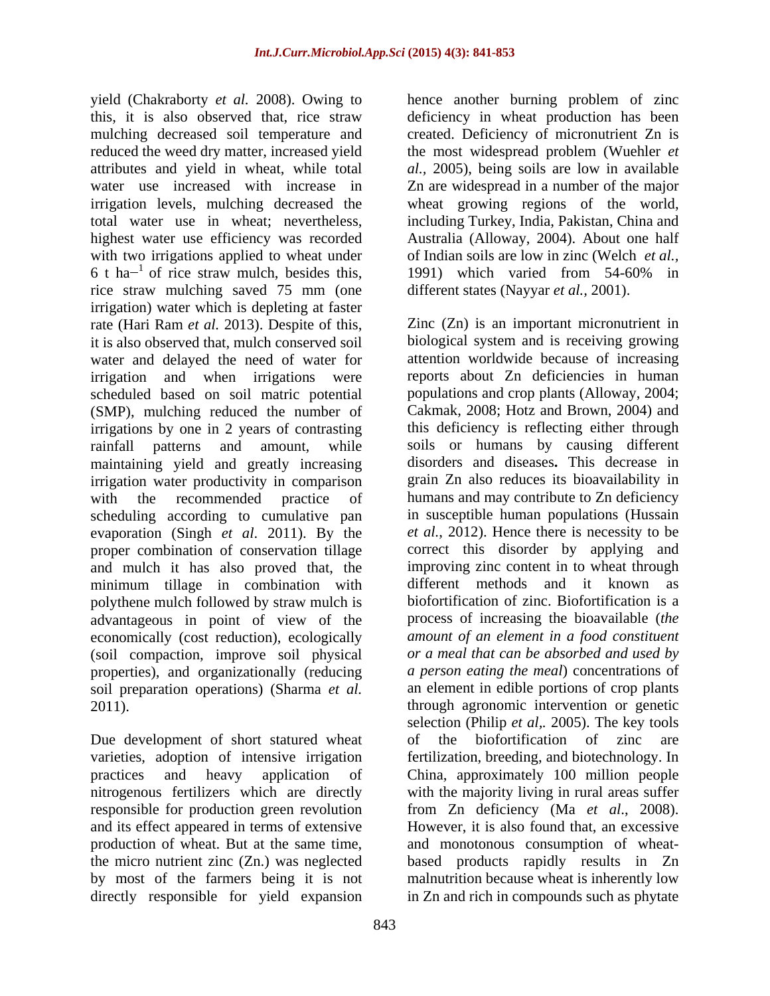yield (Chakraborty *et al.* 2008). Owing to hence another burning problem of zinc this, it is also observed that, rice straw deficiency in wheat production has been mulching decreased soil temperature and created. Deficiency of micronutrient Zn is reduced the weed dry matter, increased yield the most widespread problem (Wuehler *et*  attributes and yield in wheat, while total *al.,* 2005), being soils are low in available water use increased with increase in Zn are widespread in a number of the major irrigation levels, mulching decreased the wheat growing regions of the world, total water use in wheat; nevertheless, including Turkey, India, Pakistan, China and highest water use efficiency was recorded with two irrigations applied to wheat under<br>6 t ha<sup> $-1$ </sup> of rice straw mulch, besides this, 6 t ha<sup> $-1$ </sup> of rice straw mulch, besides this, 1991) which varied from 54-60% in rice straw mulching saved 75 mm (one irrigation) water which is depleting at faster rate (Hari Ram *et al.* 2013). Despite of this, water and delayed the need of water for scheduled based on soil matric potential (SMP), mulching reduced the number of irrigations by one in 2 years of contrasting maintaining yield and greatly increasing irrigation water productivity in comparison evaporation (Singh *et al*. 2011). By the and mulch it has also proved that, the minimum tillage in combination with polythene mulch followed by straw mulch is advantageous in point of view of the economically (cost reduction), ecologically (soil compaction, improve soil physical properties), and organizationally (reducing soil preparation operations) (Sharma *et al.*

Due development of short statured wheat of the biofortification of zinc are varieties, adoption of intensive irrigation and its effect appeared in terms of extensive directly responsible for yield expansion

Australia (Alloway, 2004). About one half of Indian soils are low in zinc (Welch *et al.,* 1991) which varied from 54-60% in different states (Nayyar *et al.,* 2001).

it is also observed that, mulch conserved soil biological system and is receiving growing irrigation and when irrigations were reports about Zn deficiencies in human rainfall patterns and amount, while soils or humans by causing different with the recommended practice of humans and may contribute to Zn deficiency scheduling according to cumulative pan in susceptible human populations (Hussain proper combination of conservation tillage correct this disorder by applying and 2011). through agronomic intervention or genetic practices and heavy application of China, approximately 100 million people nitrogenous fertilizers which are directly with the majority living in rural areas suffer responsible for production green revolution from Zn deficiency (Ma *et al*., 2008). production of wheat. But at the same time, and monotonous consumption of wheat the micro nutrient zinc (Zn.) was neglected based products rapidly results in Zn by most of the farmers being it is not malnutrition because wheat is inherently low Zinc (Zn) is an important micronutrient in attention worldwide because of increasing populations and crop plants (Alloway, 2004; Cakmak, 2008; Hotz and Brown, 2004) and this deficiency is reflecting either through disorders and diseases**.** This decrease in grain Zn also reduces its bioavailability in *et al.*, 2012). Hence there is necessity to be improving zinc content in to wheat through different methods and it known as biofortification of zinc. Biofortification is a process of increasing the bioavailable (*the amount of an element in a food constituent or a meal that can be absorbed and used by a person eating the meal*) concentrations of an element in edible portions of crop plants selection (Philip *et al,.* 2005). The key tools the biofortification of zinc fertilization, breeding, and biotechnology. In However, it is also found that, an excessive in Zn and rich in compounds such as phytate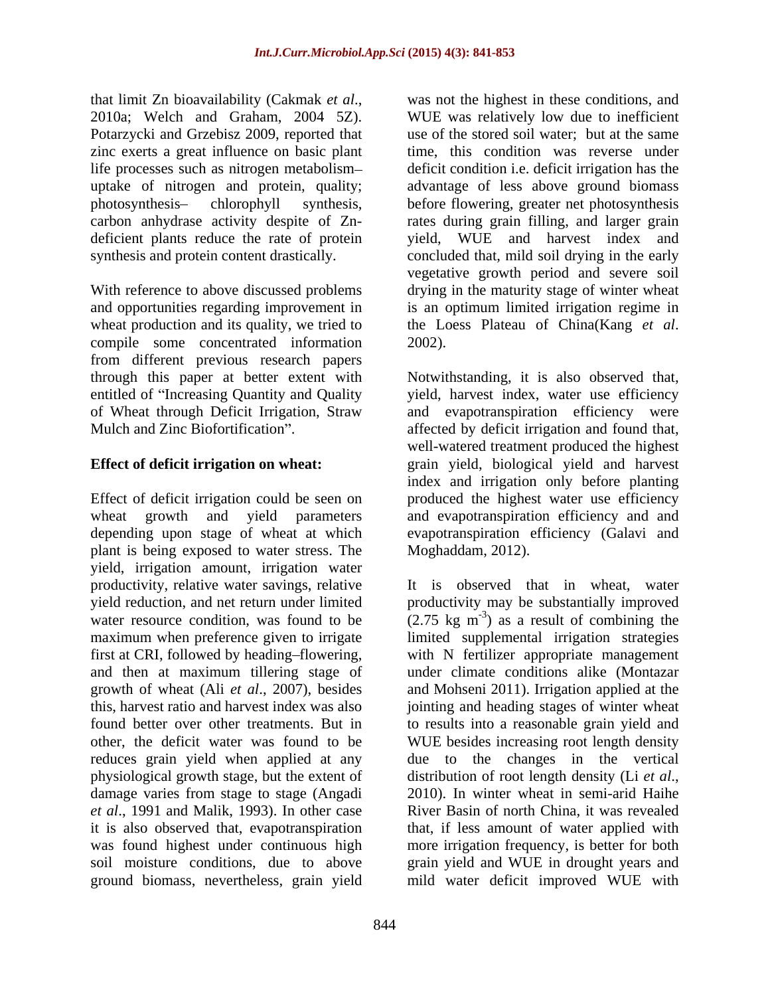that limit Zn bioavailability (Cakmak *et al*., 2010a; Welch and Graham, <sup>2004</sup> 5Z). Potarzycki and Grzebisz 2009, reported that

With reference to above discussed problems drying in the maturity stage of winter wheat and opportunities regarding improvement in wheat production and its quality, we tried to the Loess Plateau of China (Kang *et al.*) compile some concentrated information 2002). from different previous research papers

wheat growth and yield parameters and evapotranspiration efficiency and and depending upon stage of wheat at which evapotranspiration efficiency (Galavi and plant is being exposed to water stress. The yield, irrigation amount, irrigation water productivity, relative water savings, relative yield reduction, and net return under limited first at CRI, followed by heading-flowering, and then at maximum tillering stage of growth of wheat (Ali *et al*., 2007), besides physiological growth stage, but the extent of distribution of root length density (Li et al., damage varies from stage to stage (Angadi 2010). In winter wheat in semi-arid Haihe *et al*., 1991 and Malik, 1993). In other case ground biomass, nevertheless, grain yield mild water deficit improved WUE with

zinc exerts a great influence on basic plant time, this condition was reverse under life processes such as nitrogen metabolism— deficit condition i.e. deficit irrigation has the uptake of nitrogen and protein, quality; advantage of less above ground biomass photosynthesis chlorophyll synthesis, before flowering, greater net photosynthesis carbon anhydrase activity despite of Zn- rates during grain filling, and larger grain deficient plants reduce the rate of protein yield, WUE and harvest index and synthesis and protein content drastically. concluded that, mild soil drying in the early was not the highest in these conditions, and WUE was relatively low due to inefficient use of the stored soil water; but at the same vegetative growth period and severe soil is an optimum limited irrigation regime in the Loess Plateau of China(Kang *et al*. 2002).

through this paper at better extent with Notwithstanding, it is also observed that, entitled of "Increasing Quantity and Quality yield, harvest index, water use efficiency of Wheat through Deficit Irrigation, Straw and evapotranspiration efficiency were Mulch and Zinc Biofortification".  $\qquad \qquad$  affected by deficit irrigation and found that, **Effect of deficit irrigation on wheat:** grain yield, biological yield and harvest index and irrigation only before planting<br>Effect of deficit irrigation could be seen on produced the highest water use efficiency well-watered treatment produced the highest index and irrigation only before planting produced the highest water use efficiency Moghaddam, 2012).

water resource condition, was found to be  $(2.75 \text{ kg m}^{-3})$  as a result of combining the maximum when preference given to irrigate limited supplemental irrigation strategies this, harvest ratio and harvest index was also jointing and heading stages of winter wheat found better over other treatments. But in to results into a reasonable grain yield and other, the deficit water was found to be WUE besides increasing root length density reduces grain yield when applied at any due to the changes in the vertical it is also observed that, evapotranspiration that, if less amount of water applied with was found highest under continuous high more irrigation frequency, is better for both soil moisture conditions, due to above grain yield and WUE in drought years and It is observed that in wheat, water productivity may be substantially improved  $(2.75 \text{ kg m}^3)$  as a result of combining the with N fertilizer appropriate management under climate conditions alike (Montazar and Mohseni 2011). Irrigation applied at the distribution of root length density (Li *et al*., 2010). In winter wheat in semi-arid Haihe River Basin of north China, it was revealed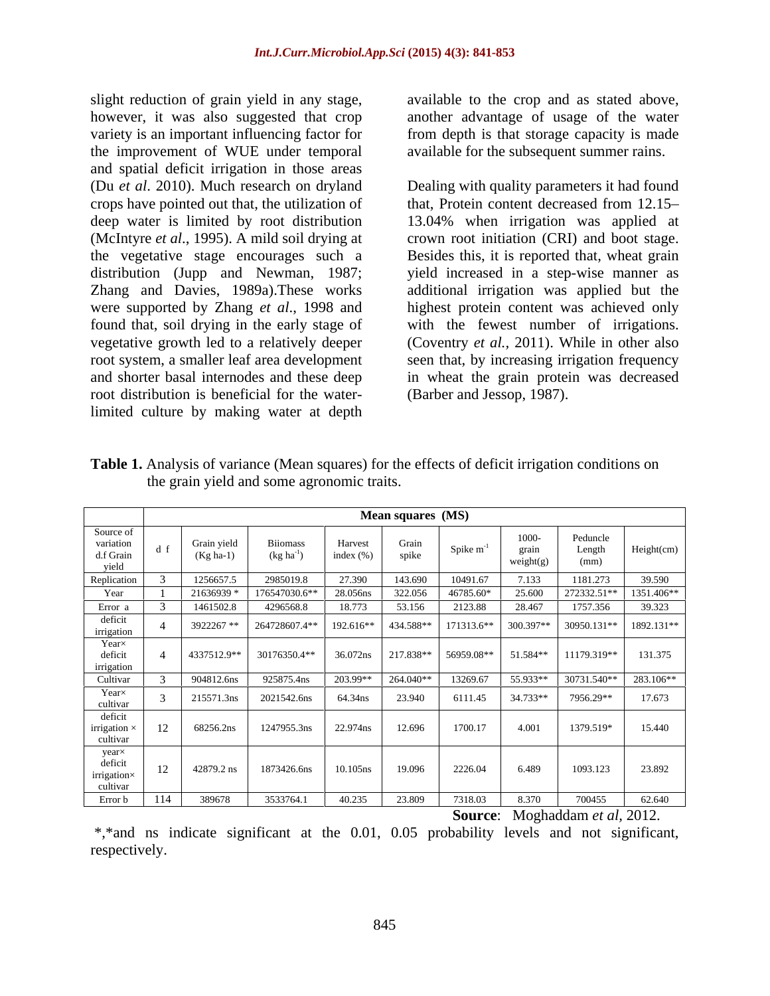slight reduction of grain yield in any stage, however, it was also suggested that crop another advantage of usage of the water variety is an important influencing factor for from depth is that storage capacity is made the improvement of WUE under temporal and spatial deficit irrigation in those areas (Du *et al*. 2010). Much research on dryland Dealing with quality parameters it had found crops have pointed out that, the utilization of that, Protein content decreased from 12.15 deep water is limited by root distribution 13.04% when irrigation was applied at (McIntyre *et al*., 1995). A mild soil drying at crown root initiation (CRI) and boot stage. the vegetative stage encourages such a Besides this, it is reported that, wheat grain distribution (Jupp and Newman, 1987; yield increased in a step-wise manner as Zhang and Davies, 1989a).These works additional irrigation was applied but the were supported by Zhang *et al*., 1998 and found that, soil drying in the early stage of vegetative growth led to a relatively deeper root system, a smaller leaf area development seen that, by increasing irrigation frequency and shorter basal internodes and these deep in wheat the grain protein was decreased root distribution is beneficial for the waterlimited culture by making water at depth

available to the crop and as stated above, available for the subsequent summer rains.

highest protein content was achieved only with the fewest number of irrigations. (Coventry *et al.,* 2011). While in other also (Barber and Jessop, 1987).

|                                                                          |                   |                            |                                          |                          | Mean squares (MS) |                |                           |                            |            |
|--------------------------------------------------------------------------|-------------------|----------------------------|------------------------------------------|--------------------------|-------------------|----------------|---------------------------|----------------------------|------------|
| Source of<br>variation<br>d.f Grain<br>vield<br>$\overline{\phantom{a}}$ |                   | Grain yield<br>$(Kg ha-1)$ | <b>Biiomass</b><br>$(\text{kg ha}^{-1})$ | Harvest<br>index $(\% )$ | Grain<br>spike    | Spike $m^{-1}$ | 1000-<br>grain<br>weight( | Peduncle<br>Length<br>(mm) | Height(cm) |
| Replication                                                              |                   | 1256657.5                  | 2985019.8                                | 27.390                   | 143.690           | 10491.67       | 7.133                     | 1181.273                   | 39.590     |
| Year                                                                     |                   | 21636939                   | 176547030.6**                            | 28.056ns                 | 322.056           | 46785.60*      | 25.600                    | 272332.51**                | 1351.406** |
| Error a                                                                  |                   | 1461502.8                  | 4296568.8                                | 18.773                   | 53.156            | 2123.88        | 28.467                    | 1757.356                   | 39.323     |
| deficit<br>irrigation                                                    |                   | 3922267**                  | 264728607.4**                            | 192.616**                | 434.588**         | 171313.6**     | 300.397**                 | 30950.131**                | 1892.131** |
| Year×<br>deficit<br>irrigation                                           |                   | 4337512.9**                | 30176350.4**                             | 36.072ns                 | 217.838**         | 56959.08**     | 51.584**                  | 11179.319**                | 131.375    |
| Cultivar                                                                 |                   | 904812.6ns                 | 925875.4ns                               | 203.99**                 | 264.040**         | 13269.67       | 55.933**                  | 30731.540**                | 283.106**  |
| $Year \times$<br>cultivar                                                |                   | 215571.3ns                 | 2021542.6ns                              | 64.34ns                  | 23.940            | 6111.45        | 34.733**                  | 7956.29**                  | 17.673     |
| deficit<br>irrigation $\ast$<br>cultivar                                 | 12                | 68256.2ns                  | 1247955.3ns                              | 22.974ns                 | 12.696            | 1700.17        | 4.001                     | 1379.519*                  | 15.440     |
| year×<br>deficit<br>$\cdots$<br>irrigation×<br>cultivar                  | $1^{\circ}$<br>14 | 42879.2 ns                 | 1873426.6ns                              | 10.105ns                 | 19.096            | 2226.04        | 6.489                     | 1093.123                   | 23.892     |
| Error b                                                                  | 114               | 389678                     | 3533764.1                                | 40.235                   | 23.809            | 7318.03        | 8.370                     | 700455                     | 62.640     |

**Table 1.** Analysis of variance (Mean squares) for the effects of deficit irrigation conditions on the grain yield and some agronomic traits.

**Source**: Moghaddam *et al,* 2012.

\*,\*and ns indicate significant at the 0.01, 0.05 probability levels and not significant, respectively.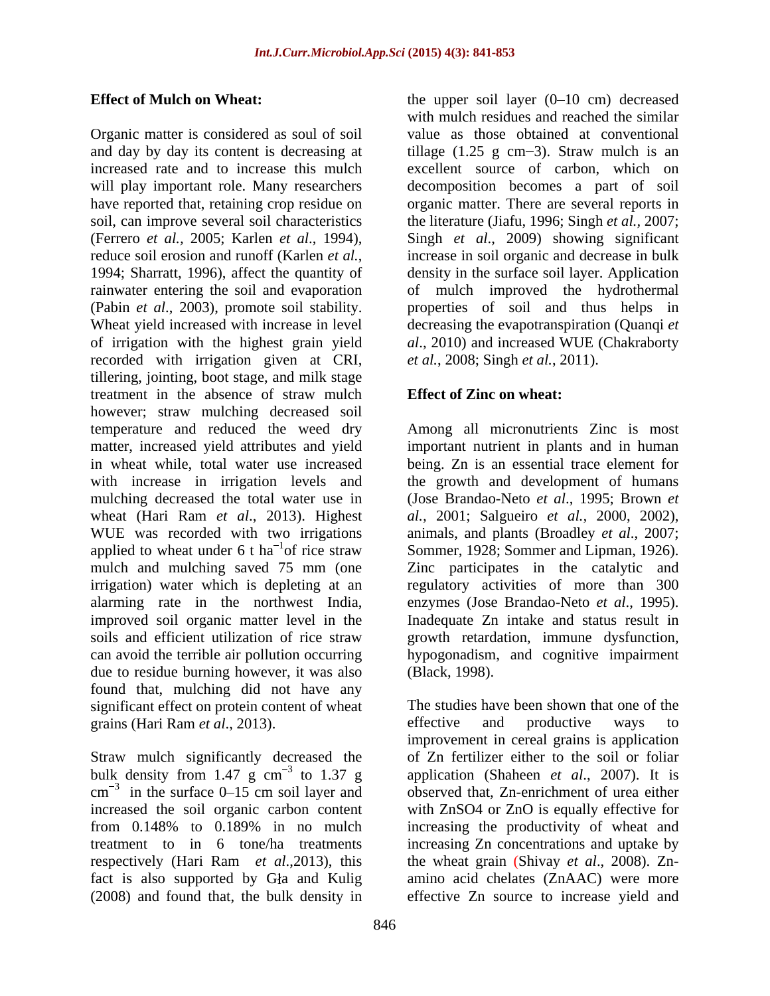and day by day its content is decreasing at iillage (1.25 g cm-3). Straw mulch is an increased rate and to increase this mulch excellent source of carbon, which on will play important role. Many researchers decomposition becomes a part of soil have reported that, retaining crop residue on organic matter. There are several reports in soil, can improve several soil characteristics the literature (Jiafu, 1996; Singh *et al.,* 2007; (Ferrero *et al.,* 2005; Karlen *et al*., 1994), Singh *et al*., 2009) showing significant reduce soil erosion and runoff (Karlen *et al.*, increase in soil organic and decrease in bulk<br>1994; Sharratt, 1996), affect the quantity of density in the surface soil layer. Application rainwater entering the soil and evaporation of mulch improved the hydrothermal (Pabin *et al.*, 2003), promote soil stability. properties of soil and thus helps in Wheat yield increased with increase in level decreasing the evapotranspiration (Quanqi *et* of irrigation with the highest grain yield *al*., 2010) and increased WUE (Chakraborty recorded with irrigation given at CRI, tillering, jointing, boot stage, and milk stage treatment in the absence of straw mulch **Effect of Zinc on wheat:** however; straw mulching decreased soil temperature and reduced the weed dry Among all micronutrients Zinc is most matter, increased yield attributes and yield important nutrient in plants and in human in wheat while, total water use increased being. Zn is an essential trace element for with increase in irrigation levels and mulching decreased the total water use in (Jose Brandao-Neto *et al*., 1995; Brown *et*  wheat (Hari Ram *et al*., 2013). Highest WUE was recorded with two irrigations animals, and plants (Broadley *et al*., 2007; applied to wheat under 6 t ha<sup>-1</sup> of rice straw Sommer, 1928; Sommer and Lipman, 1926). mulch and mulching saved 75 mm (one Zinc participates in the catalytic and irrigation) water which is depleting at an regulatory activities of more than 300 alarming rate in the northwest India, enzymes (Jose Brandao-Neto *et al*., 1995). improved soil organic matter level in the Inadequate Zn intake and status result in soils and efficient utilization of rice straw growth retardation, immune dysfunction, can avoid the terrible air pollution occurring hypogonadism, and cognitive impairment due to residue burning however, it was also (Black, 1998). found that, mulching did not have any grains (Hari Ram *et al.*, 2013). **Example 2** effective and productive ways to

Straw mulch significantly decreased the bulk density from 1.47 g  $cm^{-3}$  to 1.37 g

**Effect of Mulch on Wheat:** the upper soil layer (0–10 cm) decreased with mulch residues and reached the similar<br>Organic matter is considered as soul of soil value as those obtained at conventional with mulch residues and reached the similar value as those obtained at conventional increase in soil organic and decrease in bulk density in the surface soil layer. Application *et al.*, 2008; Singh *et al.*, 2011).

## **Effect of Zinc on wheat:**

the growth and development of humans *al.,* 2001; Salgueiro *et al.,* 2000,2002), (Black, 1998).

significant effect on protein content of wheat The studies have been shown that one of the 3 to 1.37 g application (Shaheen *et al*., 2007). It is  $\text{cm}^{-3}$  in the surface 0–15 cm soil layer and observed that, Zn-enrichment of urea either in the surface 0–15 cm soil layer and observed that, Zn-enrichment of urea either increased the soil organic carbon content with ZnSO4 or ZnO is equally effective for from 0.148% to 0.189% in no mulch increasing the productivity of wheat and treatment to in 6 tone/ha treatments increasing Zn concentrations and uptake by respectively (Hari Ram *et al*.,2013), this the wheat grain (Shivay *et al*., 2008). Zn fact is also supported by Gła and Kulig amino acid chelates (ZnAAC) were more (2008) and found that, the bulk density in effective Zn source to increase yield andeffective and productive ways to improvement in cereal grains is application of Zn fertilizer either to the soil or foliar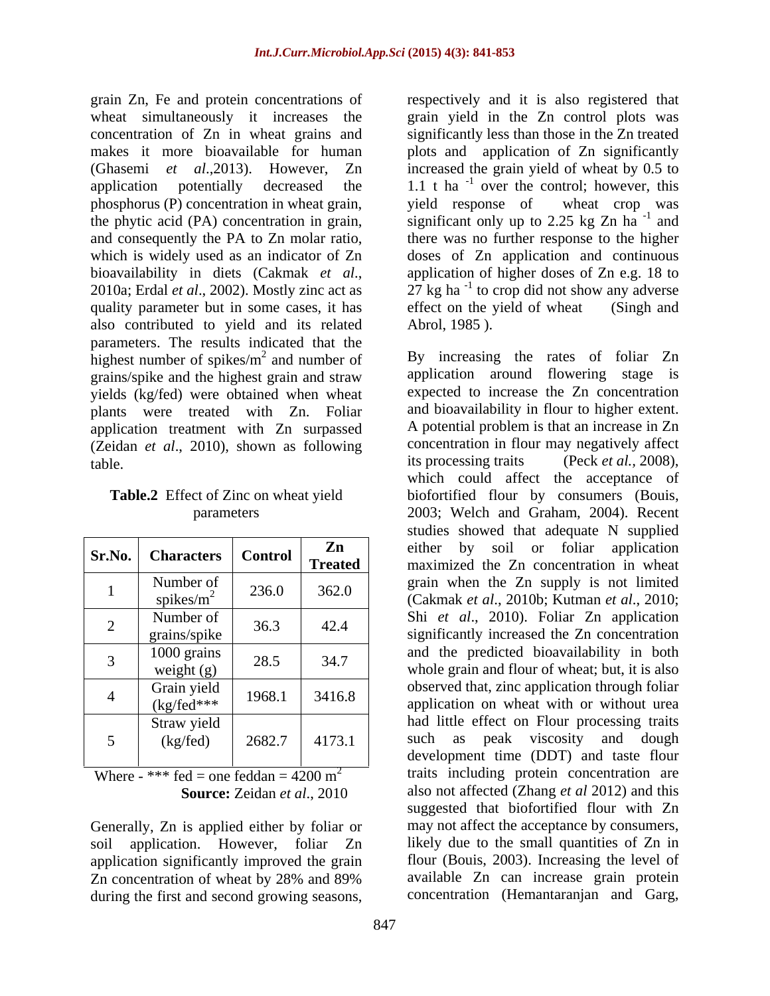grain Zn, Fe and protein concentrations of respectively and it is also registered that phosphorus (P) concentration in wheat grain, yield response of wheat crop was quality parameter but in some cases, it has effect on the yield of wheat (Singh and also contributed to yield and its related parameters. The results indicated that the highest number of spikes/ $m<sup>2</sup>$  and number of grains/spike and the highest grain and straw yields (kg/fed) were obtained when wheat plants were treated with Zn. Foliar application treatment with Zn surpassed (Zeidan *et al.*, 2010), shown as following concentration in flo<br>table its processing traits

| Sr.No. | <b>Characters</b>            | <b>Control</b> | Zn<br><b>Treated</b> |
|--------|------------------------------|----------------|----------------------|
|        | Number of<br>spikes/ $m^2$   | 236.0          | 362.0                |
| 2      | Number of<br>grains/spike    | 36.3           | 42.4                 |
| 3      | 1000 grains<br>weight $(g)$  | 28.5           | 34.7                 |
|        | Grain yield<br>$(kg/fed***)$ | 1968.1         | 3416.8               |
| 5      | Straw yield<br>(kg/fed)      | 2682.7         | 4173.1               |

Where - \*\*\* fed = one feddan =  $4200 \text{ m}^2$ 

Generally, Zn is applied either by foliar or application significantly improved the grain during the first and second growing seasons,

wheat simultaneously it increases the grain yield in the Zn control plots was concentration of Zn in wheat grains and significantly less than those in the Zn treated makes it more bioavailable for human plots and application of Zn significantly (Ghasemi *et al*.,2013). However, Zn increased the grain yield of wheat by 0.5 to application potentially decreased the  $1.1$  t ha<sup>-1</sup> over the control; however, this the phytic acid (PA) concentration in grain, significant only up to 2.25 kg Zn ha<sup>-1</sup> and and consequently the PA to Zn molar ratio, there was no further response to the higher which is widely used as an indicator of Zn doses of Zn application and continuous bioavailability in diets (Cakmak *et al.*, application of higher doses of Zn e.g. 18 to 2010a; Erdal *et al.*, 2002). Mostly zinc act as 27 kg ha<sup>-1</sup> to crop did not show any adverse yield response of wheat crop was  $-1$  and and application of higher doses of Zn e.g. 18 to  $27$  kg ha<sup>-1</sup> to crop did not show any adverse to crop did not show any adverse effect on the yield of wheat (Singh and Abrol, 1985 ).

<sup>2</sup> and number of By increasing the rates of foliar Zn table. **its processing traits** (Peck *et al.*, 2008), **Table.2** Effect of Zinc on wheat yield biofortified flour by consumers (Bouis, parameters 2003; Welch and Graham, 2004). Recent **Sr.No. Characters Control Zn zn** either by soil or foliar application **Treated** maximized the Zn concentration in wheat 1 Number of 236.0 362.0  $\int$  grain when the Zn supply is not limited<br>(Colmels at al. 2010b, Kutman at al. 2010b spikes/m<sup>2</sup> 236.0 362.0 Cakmak *et al.*, 2010b; Kutman *et al.*, 2010; 2 Number of  $\begin{array}{|l|c|c|c|c|c|c|c|} \hline \text{Number of} & 36.3 & 42.4 & \text{Shi} & \text{et} & \text{al., 2010}. \hline \end{array}$  Foliar Zn application grains/spike 36.3 42.4 significantly increased the Zn concentration  $\frac{3}{2}$   $\begin{array}{|l|l|} \hline 1000 \text{ grams} & 28.5 \\ \hline \text{weight (g)} & 28.5 \end{array}$  34.7 whole grain and flour of wheat; but, it is also 1000 grains  $\begin{vmatrix} 0 & 0 & 0 \\ 0 & 0 & 0 \\ 0 & 0 & 0 \end{vmatrix}$  and the predicted bioavailability in both  $\frac{4}{100}$  Grain yield  $\frac{1968.1}{1968.1}$  3416.8 observed that, zinc application through foliar  $(kg/\text{fed}^{***}$  1968.1 3416.8 application on wheat with or without urea 5 (kg/fed) 2682.7 4173.1 such as peak viscosity and dough Straw yield **Straw yield had little effect on Flour processing traits Source:** Zeidan *et al*., 2010 also not affected (Zhang *et al* 2012) and this soil application. However, foliar Zn likely due to the small quantities of Zn in Zn concentration of wheat by 28% and 89% available Zn can increase grain protein application around flowering stage is expected to increase the Zn concentration and bioavailability in flour to higher extent. A potential problem is that an increase in Zn concentration in flour may negatively affect which could affect the acceptance of studies showed that adequate N supplied observed that, zinc application through foliar development time (DDT) and taste flour traits including protein concentration are suggested that biofortified flour with Zn may not affect the acceptance by consumers, flour (Bouis, 2003). Increasing the level of available Zn can increase grain protein concentration (Hemantaranjan and Garg,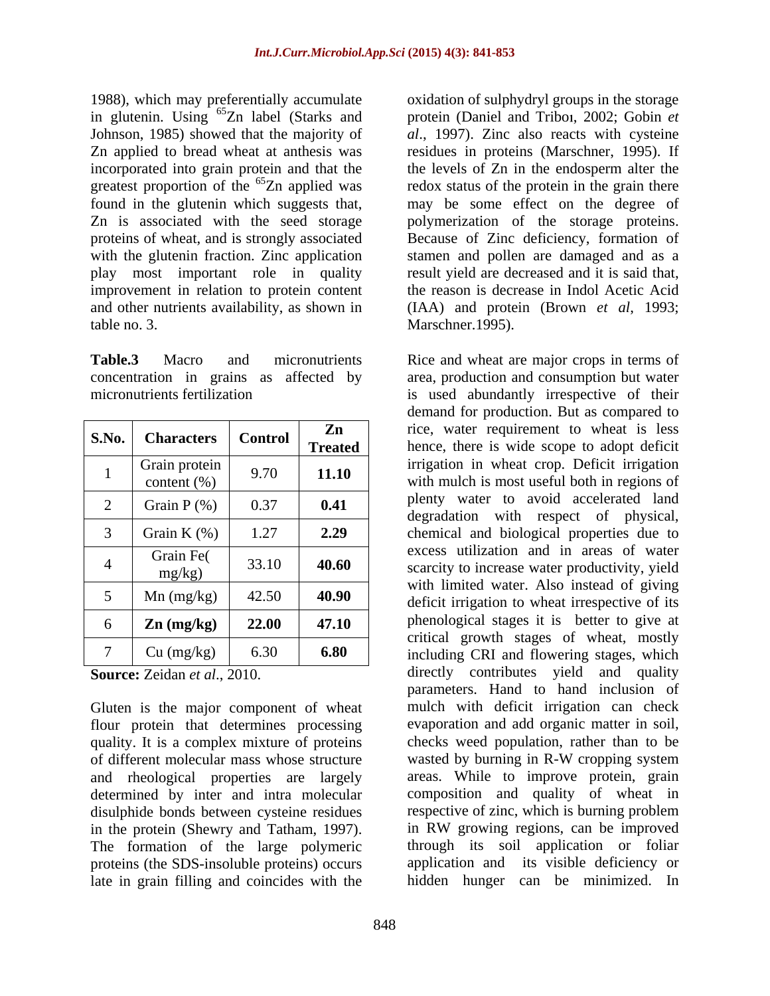1988), which may preferentially accumulate in glutenin. Using <sup>65</sup>Zn label (Starks and Johnson, 1985) showed that the majority of *al*., 1997). Zinc also reacts with cysteine Zn applied to bread wheat at anthesis was residues in proteins (Marschner, 1995). If incorporated into grain protein and that the greatest proportion of the <sup>65</sup>Zn applied was<br>found in the glutenin which suggests that, found in the glutenin which suggests that, may be some effect on the degree of Zn is associated with the seed storage polymerization of the storage proteins. proteins of wheat, and is strongly associated Because of Zinc deficiency, formation of with the glutenin fraction. Zinc application stamen and pollen are damaged and as a play most important role in quality improvement in relation to protein content and other nutrients availability, as shown in (IAA)and protein (Brown *et al*, 1993; table no. 3. Marschner.1995).

| S.No.          | <b>Characters</b>                | <b>Control</b> | Zn<br><b>Treated</b> |
|----------------|----------------------------------|----------------|----------------------|
| 1              | Grain protein<br>content $(\% )$ | 9.70           | 11.10                |
| $\overline{2}$ | Grain $P$ (%)                    | 0.37           | 0.41                 |
| 3              | Grain K $(\%)$                   | 1.27           | 2.29                 |
| 4              | Grain Fe(<br>mg/kg)              | 33.10          | 40.60                |
| 5              | $Mn$ (mg/kg)                     | 42.50          | 40.90                |
| 6              | $\mathbf{Zn}$ (mg/kg)            | 22.00          | 47.10                |
| 7              | Cu (mg/kg)                       | 6.30           | 6.80                 |

Gluten is the major component of wheat flour protein that determines processing quality. It is a complex mixture of proteins checks weed population, rather than to be of different molecular mass whose structure wasted by burning in R-W cropping system of different molecular mass whose structure and rheological properties are largely determined by inter and intra molecular disulphide bonds between cysteine residues in the protein (Shewry and Tatham, 1997). <br>in RW growing regions, can be improved The formation of the large polymeric proteins (the SDS-insoluble proteins) occurs late in grain filling and coincides with the

<sup>65</sup>Zn label (Starks and protein (Daniel and Triboi, 2002; Gobin *et* oxidation of sulphydryl groups in the storage the levels of Zn in the endosperm alter the redox status of the protein in the grain there result yield are decreased and it is said that, the reason is decrease in Indol Acetic Acid

**Table.3** Macro and micronutrients Rice and wheat are major crops in terms of concentration in grains as affected by area, production and consumption but water micronutrients fertilization is used abundantly irrespective of their **S.No. Characters Control Zn Zn Example 1 Control Zn Example 1 Control Zn Example 1 Control Control Control Control Controlled Controlled Controlled Controlled Controlled Controll Treated hence**, there is wide scope to adopt deficit  $\begin{array}{c|c|c|c|c|c|c} \hline 1 & \text{Grain protein} & 9.70 & \text{11.10} & \text{irrigation in wheat crop. Deficit irrational} \end{array}$  $\begin{bmatrix} 9.70 \\ 9.70 \end{bmatrix}$  11.10 with mulch is most useful both in regions of 2 Grain P  $(\%)$  0.37 **0.41** permy water to avoid accelerated rand  $3 \mid$  Grain K  $(\%) \mid 1.27 \mid 2.29 \mid$  chemical and biological properties due to 4 Grain Fe( 33.10 **40.60** excess utilization and in areas or water<br>mg/kg) 33.10 **40.60** scarcity to increase water productivity, yield 5 Mn (mg/kg) 42.50 **40.90** deficit irrigation to wheat irrespective of its 6 **Zn (mg/kg) 22.00 47.10** phenological stages it is better to give at 7 Cu (mg/kg) 6.30 **6.80** including CRI and flowering stages, which **Source:** Zeidan *et al.*, 2010. **directly** contributes yield and quality demand for production. But as compared to plenty water to avoid accelerated land degradation with respect of physical, excess utilization and in areas of water with limited water. Also instead of giving critical growth stages of wheat, mostly parameters. Hand to hand inclusion of mulch with deficit irrigation can check evaporation and add organic matter in soil, checks weed population, rather than to be wasted by burning in R-W cropping system areas. While to improve protein, grain composition and quality of wheat in respective of zinc, which is burning problem in RW growing regions, can be improved through its soil application or foliar application and its visible deficiency or hidden hunger can be minimized. In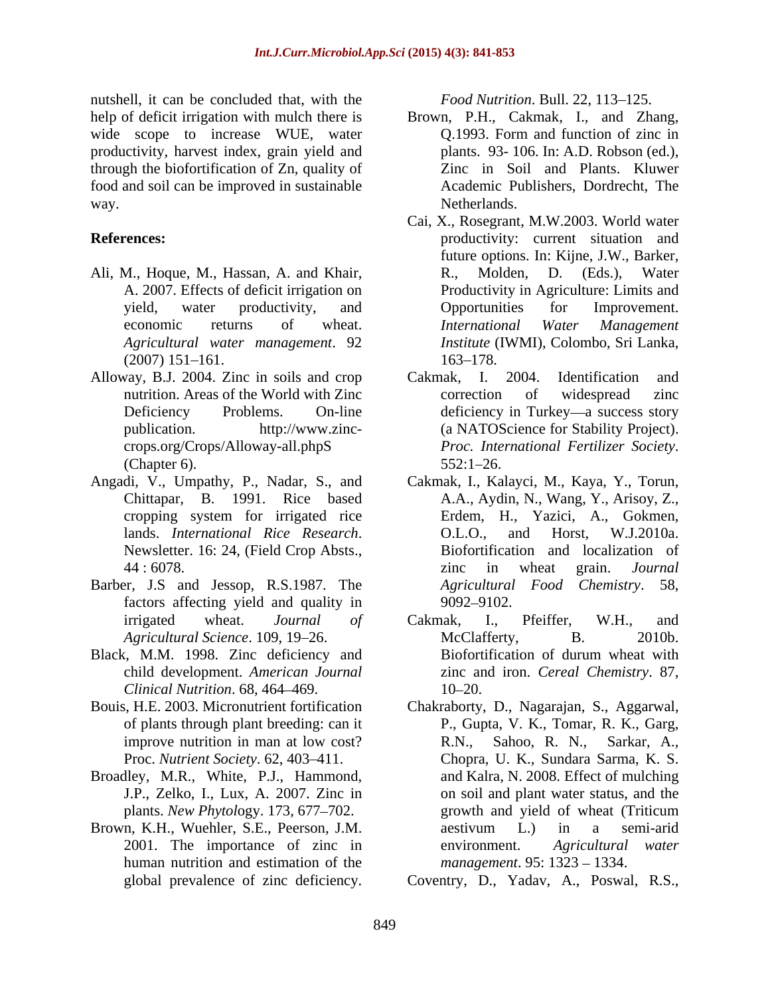nutshell, it can be concluded that, with the *Food Nutrition*. Bull. 22, 113–125. help of deficit irrigation with mulch there is Brown, P.H., Cakmak, I., and Zhang, wide scope to increase WUE, water **Q.1993**. Form and function of zinc in productivity, harvest index, grain yield and through the biofortification of Zn, quality of food and soil can be improved in sustainable way. Netherlands.

- Ali, M., Hoque, M., Hassan, A. and Khair, R., Molden, D. (Eds.), Water
- Alloway, B.J. 2004. Zinc in soils and crop Cakmak, I. 2004. Identification and
- 
- Barber, J.S and Jessop, R.S.1987. The factors affecting yield and quality in 9092–9102.
- Black, M.M. 1998. Zinc deficiency and Biofortification of durum wheat with child development. *American Journal Clinical Nutrition*. 68, 464 469.
- 
- Broadley, M.R., White, P.J., Hammond,
- Brown, K.H., Wuehler, S.E., Peerson, J.M. a aestivum L.) in a semi-arid human nutrition and estimation of the

- plants. 93- 106. In: A.D. Robson (ed.), Zinc in Soil and Plants. Kluwer Academic Publishers, Dordrecht, The Netherlands.
- **References:** productivity: current situation and A. 2007. Effects of deficit irrigation on Productivity in Agriculture: Limits and yield, water productivity, and Deportunities for Improvement. economic returns of wheat. *International Water Management Agricultural water management*. 92 *Institute* (IWMI), Colombo, Sri Lanka,  $(2007)$  151–161.  $163-178$ . Cai, X., Rosegrant, M.W.2003. World water future options. In: Kijne, J.W., Barker, R., Molden, D. (Eds.), Water Opportunities for Improvement. *International Water Management* 163–178.
	- nutrition. Areas of the World with Zinc correction of widespread zinc Deficiency Problems. On-line deficiency in Turkey—a success story publication. http://www.zinc- (a NATOScience for Stability Project). crops.org/Crops/Alloway-all.phpS (Chapter 6).  $552:1-26$ . Cakmak, I. 2004. Identification and correction of widespread zinc *Proc. International Fertilizer Society*. 552:1 26.
- Angadi, V., Umpathy, P., Nadar, S., and Cakmak, I., Kalayci, M., Kaya, Y., Torun, Chittapar, B. 1991. Rice based A.A., Aydin, N., Wang, Y., Arisoy, Z., cropping system for irrigated rice lands. *International Rice Research*. O.L.O., and Horst, W.J.2010a.<br>Newsletter. 16: 24, (Field Crop Absts., Biofortification and localization of 44:6078. The same state of the state of the state of the state of the state of the state of the state of the state of the state of the state of the state of the state of the state of the state of the state of the state of Erdem, H., Yazici, A., Gokmen, O.L.O., and Horst, W.J.2010a. Biofortification and localization of zinc in wheat grain. *Journal Agricultural Food Chemistry*. 58, 9092–9102.
	- irrigated wheat. *Journal of Agricultural Science*. 109, 19–26. McClafferty, B. 2010b. Cakmak, I., Pfeiffer, W.H., and McClafferty, B. 2010b. Biofortification of durum wheat with zinc and iron. *Cereal Chemistry*. 87, 10–20.
- Bouis, H.E. 2003. Micronutrient fortification Chakraborty, D., Nagarajan, S., Aggarwal, of plants through plant breeding: can it P., Gupta, V. K., Tomar, R. K., Garg, improve nutrition in man at low cost? <br>R.N., Sahoo, R. N., Sarkar, A., Proc. *Nutrient Society*. 62, 403–411. Chopra, U. K., Sundara Sarma, K. S. J.P., Zelko, I., Lux, A. 2007. Zinc in on soil and plant water status, and the plants. *New Phytology*. 173, 677–702. growth and yield of wheat (Triticum 2001. The importance of zinc in environment. Agricultural water ell, a can be concluded that, with the Food Music Fouriday and the case Witri waver<br>global previous control of the case of the case of the case of the horotential<br>on of  $\sigma$  and  $\sigma$  and  $\sigma$  and  $\sigma$  and  $\sigma$  and  $\sigma$ <br>is R.N., Sahoo, R. N., Sarkar, A., and Kalra, N. 2008. Effect of mulching growth and yield of wheat (Triticum aestivum L.) in a semi-arid environment. *Agricultural water management*. 95: 1323 – 1334.

Coventry,D., Yadav, A., Poswal, R.S.,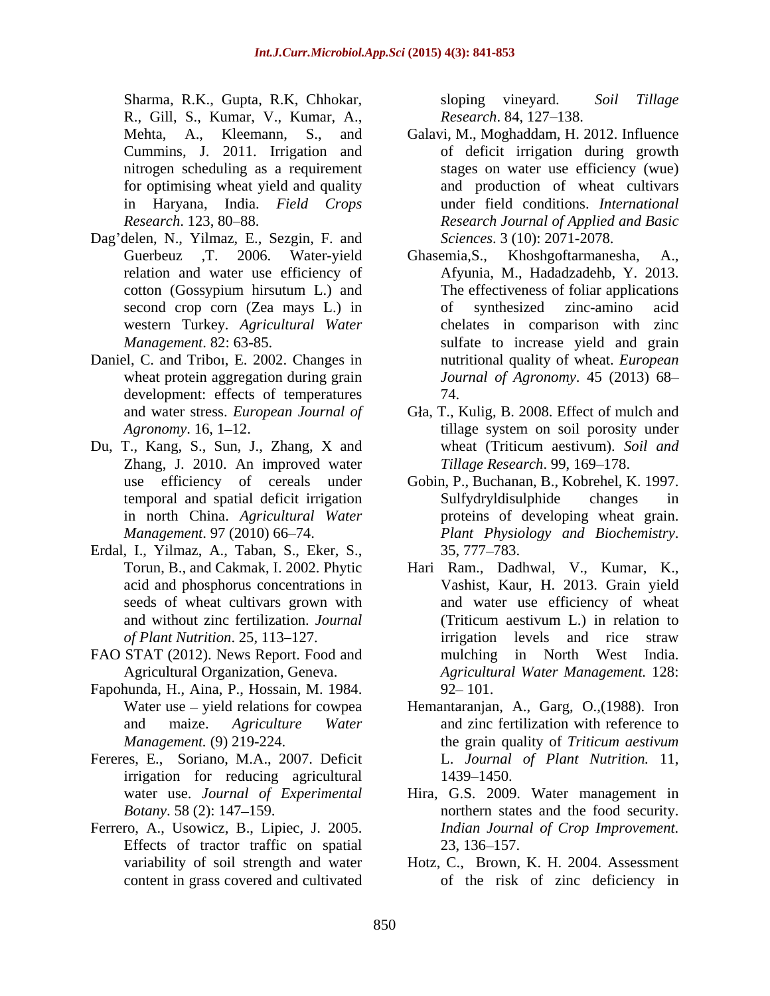Sharma, R.K., Gupta, R.K., Chhokar, sloping vineyard. Soil Tillage R., Gill, S., Kumar, V., Kumar, A., Research. 84, 127–138. R., Gill, S., Kumar, V., Kumar, A., *Research*. 84, 127–138.<br>Mehta, A., Kleemann, S., and Galavi, M., Moghaddam, H. 2012. Influence nitrogen scheduling as a requirement

- Dag delen, N., Yilmaz, E., Sezgin, F. and western Turkey*. Agricultural Water*
- Daniel, C. and Triboı, E. 2002. Changes in development: effects of temperatures 74.
- Du, T., Kang, S., Sun, J., Zhang, X and wheat (Triticum aestivum). Soil and Zhang, J. 2010. An improved water in north China. *Agricultural Water*
- Erdal, I., Yilmaz, A., Taban, S., Eker, S., acid and phosphorus concentrations in
- FAO STAT (2012). News Report. Food and
- Fapohunda, H., Aina, P., Hossain, M. 1984. <br>Water use yield relations for cowpea Hemantaranjan, A., Garg, O., (1988). Iron
- Fereres, E., Soriano, M.A., 2007. Deficit irrigation for reducing agricultural 1439–1450.
- Ferrero, A., Usowicz, B., Lipiec, J. 2005. Indian Journal of Crop Improvement.<br>Effects of tractor traffic on spatial 23, 136–157.

sloping vineyard. *Soil Tillage Research.* 84, 127–138.

- Cummins, J. 2011. Irrigation and of deficit irrigation during growth for optimising wheat yield and quality and production of wheat cultivars in Haryana, India. *Field Crops* under field conditions. *International Research*. 123, 80 88. *Research Journal of Applied and Basic* Galavi, M., Moghaddam, H. 2012. Influence stages on water use efficiency (wue) *Sciences*. 3 (10): 2071-2078.
- Guerbeuz ,T. 2006. Water-yield Ghasemia,S., Khoshgoftarmanesha, A., relation and water use efficiency of Afyunia, M., Hadadzadehb, Y. 2013. cotton (Gossypium hirsutum L.) and second crop corn (Zea mays L.) in of synthesized zinc-amino acid *Management*. 82: 63-85. sulfate to increase yield and grain wheat protein aggregation during grain *Journal of Agronomy*. 45 (2013) 68 Afyunia, M., Hadadzadehb, Y. 2013. The effectiveness of foliar applications of synthesized zinc-amino acid chelates in comparison with zinc nutritional quality of wheat. *European*  74.
- and water stress. *European Journal of* Gla, T., Kulig, B. 2008. Effect of mulch and Agronomy. 16, 1–12. wheat (Triticum aestivum). *Soil and Tillage Research.* 99, 169–178.
- use efficiency of cereals under Gobin, P., Buchanan, B., Kobrehel, K. 1997. temporal and spatial deficit irrigation *Management*. 97 (2010) 66 74. *Plant Physiology and Biochemistry*. Gobin, P., Buchanan, B., Kobrehel, K. 1997.<br>Sulfydryldisulphide changes in proteins of developing wheat grain. 35, 777 783.
- Torun, B., and Cakmak, I. 2002. Phytic Hari Ram., Dadhwal, V., Kumar, K., seeds of wheat cultivars grown with and water use efficiency of wheat and without zinc fertilization. *Journal* (Triticum aestivum L.) in relation to of Plant Nutrition. 25, 113–127. **in the interval in the straw** *irrigation* levels and rice straw Agricultural Organization, Geneva. *Agricultural Water Management.* 128: Vashist, Kaur, H. 2013. Grain yield (Triticum aestivum L.) in relation to irrigation levels and rice straw mulching in North West India.  $92 - 101.$
- and maize. *Agriculture Water* and zinc fertilization with reference to *Management.* (9) 219-224. the grain quality of *Triticum aestivum* Hemantaranjan, A., Garg, O., (1988). Iron L. *Journal of Plant Nutrition.* 11, 1439–1450.
- water use. *Journal of Experimental* Hira, G.S. 2009. Water management in *Botany*. 58 (2): 147–159. The morthern states and the food security. *Indian Journal of Crop Improvement.* 23, 136–157.
- variability of soil strength and water Hotz, C., Brown, K. H. 2004. Assessment content in grass covered and cultivated of the risk of zinc deficiency in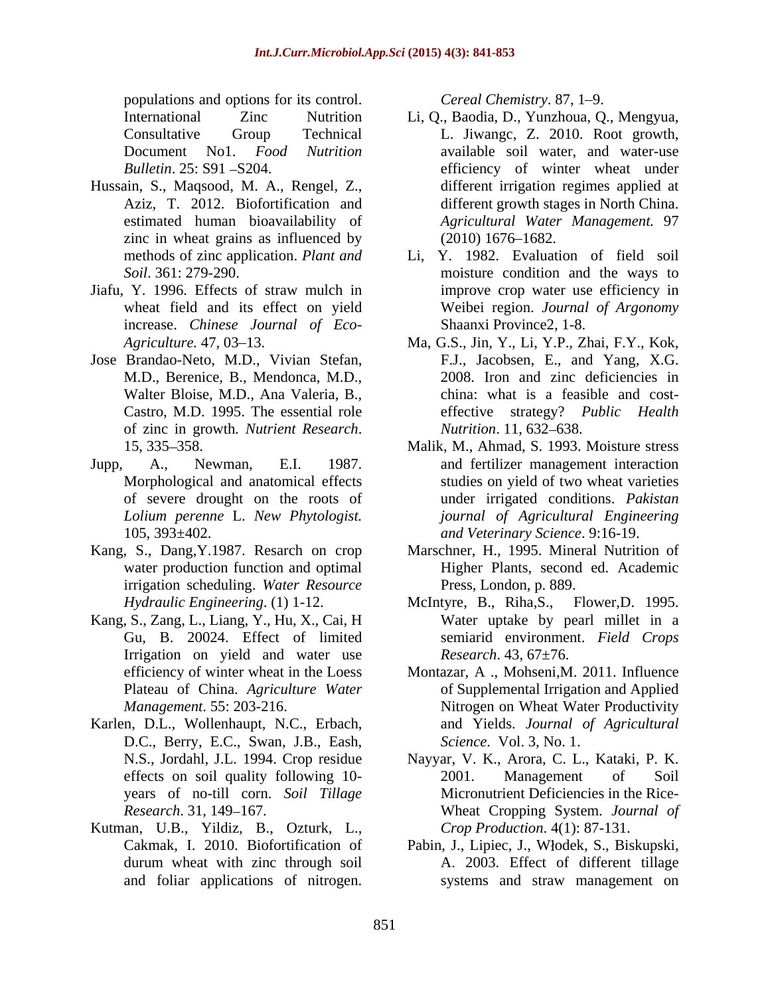populations and options for its control. Cereal Chemistry. 87, 1–9.

- Hussain, S., Maqsood, M. A., Rengel, Z., zinc in wheat grains as influenced by  $(2010) 1676-1682$ . methods of zinc application. *Plant and*
- Jiafu, Y. 1996. Effects of straw mulch in increase. *Chinese Journal of Eco-*
- Jose Brandao-Neto, M.D., Vivian Stefan, of zinc in growth. *Nutrient Research*. *Nutrition*. 11, 632–638.<br>15, 335–358. **15, 335–358.** Malik, M., Ahmad, S. 1993. Moisture stress
- 
- irrigation scheduling. *Water Resource*
- Kang, S., Zang, L., Liang, Y., Hu, X., Cai, H Gu, B. 20024. Effect of limited Irrigation on yield and water use
- Karlen, D.L., Wollenhaupt, N.C., Erbach, D.C., Berry, E.C., Swan, J.B., Eash, years of no-till corn. *Soil Tillage*
- Kutman, U.B., Yildiz, B., Ozturk, L.,

- International Zinc Nutrition Li, Q., Baodia, D., Yunzhoua, Q., Mengyua, Consultative Group Technical L. Jiwangc, Z. 2010. Root growth, Document No1. *Food Nutrition* available soil water, and water-use *Bulletin*. 25: S91 - S204. The efficiency of winter wheat under Aziz, T. 2012. Biofortification and different growth stages in North China. estimated human bioavailability of *Agricultural Water Management.* 97 populations and optical control. Cereal Consideration State is control. Considerate Consideration Chemistry. State of nitrogen. The constrained Solution is the same of the same of nitrogen. The constrained Solution of the different irrigation regimes applied at  $(2010) 1676 - 1682.$
- *Soil*. 361: 279-290. moisture condition and the ways to wheat field and its effect on yield Weibei region. *Journal of Argonomy* Li, Y. 1982. Evaluation of field soil improve crop water use efficiency in Shaanxi Province2, 1-8.
- Agriculture. 47, 03–13. **Ma, G.S., Jin, Y., Li, Y.P., Zhai, F.Y., Kok**, M.D., Berenice, B., Mendonca, M.D., 2008. Iron and zinc deficiencies in Walter Bloise, M.D., Ana Valeria, B., end china: what is a feasible and cost-Castro, M.D. 1995. The essential role effective strategy? *Public Health* F.J., Jacobsen, E., and Yang, X.G. china: what is <sup>a</sup> feasible and cost-effective strategy? *Public Health Nutrition.* 11, 632–638.
- Jupp, A., Newman, E.I. 1987. and fertilizer management interaction<br>Morphological and anatomical effects studies on yield of two wheat varieties of severe drought on the roots of under irrigated conditions. *Pakistan Lolium perenne* L. *New Phytologist. journal of Agricultural Engineering* 105, 393±402. *and Veterinary Science*. 9:16-19. Malik, M., Ahmad, S. 1993. Moisture stress and fertilizer management interaction studies on yield of two wheat varieties
- Kang, S., Dang,Y.1987. Resarch on crop Marschner, H., 1995. Mineral Nutrition of water production function and optimal Higher Plants, second ed. Academic Press, London, p. 889.
	- *Hydraulic Engineering.* (1) 1-12. McIntyre, B., Riha, S., Flower, D. 1995. McIntyre, B., Riha,S., Flower,D. 1995. Water uptake by pearl millet in <sup>a</sup> semiarid environment. *Field Crops Research*. 43, 67±76.
	- efficiency of winter wheat in the Loess Montazar, A ., Mohseni,M. 2011. Influence Plateau of China. *Agriculture Water* of Supplemental Irrigation and Applied *Management*. 55: 203-216. Nitrogen on Wheat Water Productivity and Yields. *Journal of Agricultural Science*. Vol. 3, No. 1.
	- N.S., Jordahl, J.L. 1994. Crop residue Nayyar, V. K., Arora, C. L., Kataki, P. K. effects on soil quality following 10-<br>2001. Management of Soil *Research.* 31, 149–167. The State of Mass and Supply System. *Journal of*  $\sigma$ 2001. Management of Soil Micronutrient Deficiencies in the Rice- *Crop Production*. 4(1): 87-131.
	- Cakmak, I. 2010. Biofortification of Pabin, J., Lipiec, J., Włodek, S., Biskupski, durum wheat with zinc through soil A. 2003. Effect of different tillage Pabin, J., Lipiec, J., W odek, S., Biskupski, systems and straw management on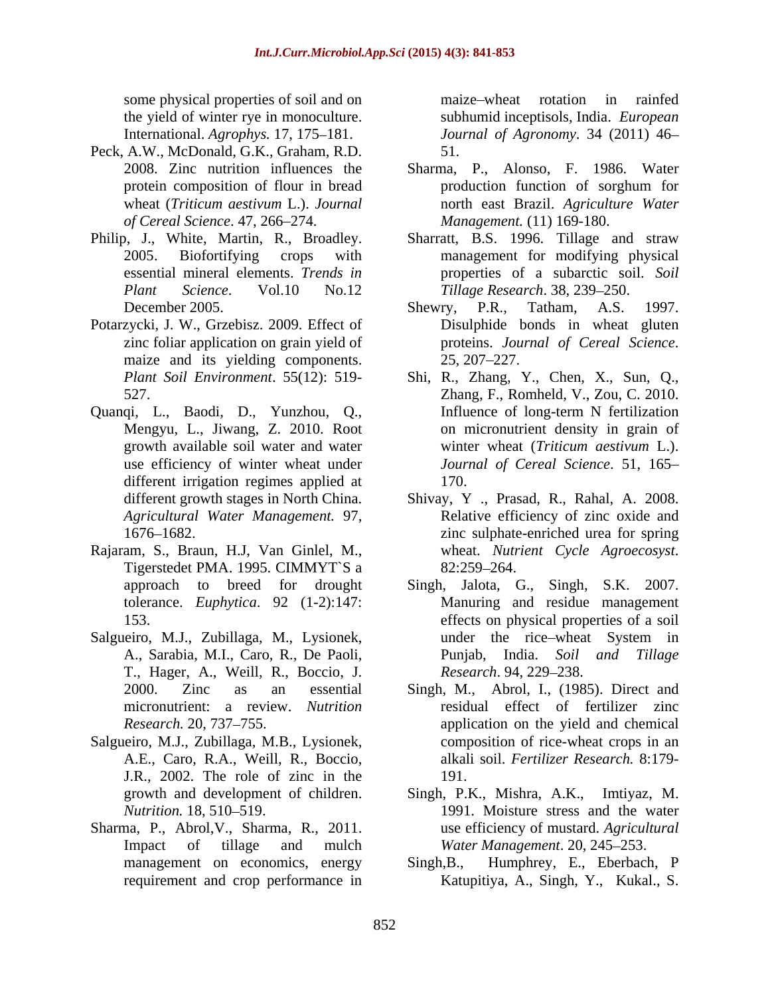some physical properties of soil and on maize-wheat rotation in rainfed the yield of winter rye in monoculture. International. *Agrophys.* 17, 175–181.

- Peck, A.W., McDonald, G.K., Graham, R.D. *of Cereal Science*. 47, 266 274.
- 
- Potarzycki, J. W., Grzebisz. 2009. Effect of Disulphide bonds in wheat gluten zinc foliar application on grain yield of maize and its yielding components. 25, 207–227.
- Quanqi, L., Baodi, D., Yunzhou, Q., Influence of long-term N fertilization<br>Mengyu, L., Jiwang, Z. 2010. Root on micronutrient density in grain of different irrigation regimes applied at 170.
- Rajaram, S., Braun, H.J, Van Ginlel, M., wheat. *Nutrient Cycle Agroecosyst*.<br>Tigerstedet PMA. 1995. CIMMYT`S a 82:259–264.
- Salgueiro, M.J., Zubillaga, M., Lysionek, under the rice-wheat System in A., Sarabia, M.I., Caro, R., De Paoli, T., Hager, A., Weill, R., Boccio, J. micronutrient: a review. *Nutrition*
- Salgueiro, M.J., Zubillaga, M.B., Lysionek, J.R., 2002. The role of zinc in the
- Sharma, P., Abrol, V., Sharma, R., 2011. use efficiency of mustard. Agricultural Impact of tillage and mulch *Water Management*. 20, 245–253. management on economics, energy Singh, B.,

maize wheat rotation in rainfed subhumid inceptisols, India. *European Journal of Agronomy*. 34 (2011) 46 51.

- 2008. Zinc nutrition influences the Sharma, P., Alonso, F. 1986. Water protein composition of flour in bread production function of sorghum for wheat (*Triticum aestivum* L.). *Journal*  north east Brazil. *Agriculture Water Management.* (11) 169-180.
- Philip, J., White, Martin, R., Broadley. Sharratt, B.S. 1996. Tillage and straw 2005. Biofortifying crops with management for modifying physical essential mineral elements. *Trends in* properties of a subarctic soil. *Soil*  Plant *Science*. Vol.10 No.12 *Tillage Research*. 38, 239–250. Sharratt, B.S. 1996. Tillage and straw management for modifying physical
	- December 2005. Shewry, P.R., Tatham, A.S. 1997. Shewry, P.R., Tatham, A.S. 1997.<br>Disulphide bonds in wheat gluten proteins. *Journal of Cereal Science*. 25, 207 227.
	- *Plant Soil Environment*. 55(12): 519- Shi, R., Zhang, Y., Chen, X., Sun, Q., 527. Zhang, F., Romheld, V., Zou, C. 2010. growth available soil water and water winter wheat (*Triticum aestivum* L.). use efficiency of winter wheat under *Journal of Cereal Science*. 51,165 Zhang, F., Romheld, V., Zou, C. 2010. Influence of long-term <sup>N</sup> fertilization on micronutrient density in grain of 170.
	- different growth stages in North China. Shivay, Y., Prasad, R., Rahal, A. 2008. *Agricultural Water Management.* 97, 1676 1682. zinc sulphate-enriched urea for spring Shivay, <sup>Y</sup> ., Prasad, R., Rahal, A. 2008. Relative efficiency of zinc oxide and wheat. *Nutrient Cycle Agroecosyst*. 82:259 264.
	- approach to breed for drought Singh, Jalota, G., Singh, S.K. 2007. tolerance. *Euphytica*. 92 (1-2):147: 153. effects on physical properties of a soil Singh, Jalota, G., Singh, S.K. 2007. Manuring and residue management under the rice wheat System in Punjab, India. *Soil and Tillage Research.* 94, 229–238.
	- 2000. Zinc as an essential Singh, M., Abrol, I., (1985).Direct and *Research.* 20, 737–755. The application on the yield and chemical A.E., Caro, R.A., Weill, R., Boccio, alkali soil. *Fertilizer Research.* 8:179 residual effect of fertilizer zinc composition of rice-wheat crops in an 191.
	- growth and development of children. Singh, P.K., Mishra, A.K., Imtiyaz, M. *Nutrition.* 18, 510–519. **1991.** Moisture stress and the water use efficiency of mustard. *Agricultural Water Management.* 20, 245–253.
	- requirement and crop performance in Katupitiya, A., Singh, Y., Kukal., S. Humphrey, E., Eberbach, P.